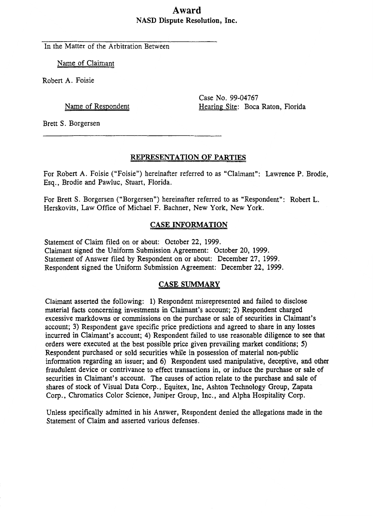# **Award NASD Dispute Resolution, Inc.**

In the Matter of the Arbitration Between

Name of Claimant

Robert **A.** Foisie

Name of Respondent

Case No. **99-04767**  Hearing Site: Boca Raton, Florida

Brett S. Borgersen

# **REPRESENTATION OF PARTIES**

For Robert **A.** Foisie ("Foisie") hereinafter referred to as "Claimant": Lawrence P. Brodie, **Esq.,** Brodie and Pawluc, Stuart, Florida.

For Brett S. Borgersen ("Borgersen") hereinafter referred to as "Respondent": Robert L. Herskovits, **Law** Office of Michael F. Bachner, New York, New York.

# **CASE INFORMATION**

Statement of Claim filed on or about: October **22,** 1999. Claimant signed the Uniform Submission Agreement: October 20, 1999. Statement of Answer filed by Respondent on or about: December 27, 1999. Respondent signed the Uniform Submission Agreement: December **22,** 1999.

# **CASE SUMMARY**

Claimant asserted the following: 1) Respondent misrepresented and failed to disclose material facts concerning investments in Claimant's account; 2) Respondent charged excessive markdowns or commissions on the purchase or sale of securities in Claimant's account; 3) Respondent gave specific price predictions and agreed to share in any losses incurred in Claimant's account; **4)** Respondent failed to use reasonable diligence to see that orders were executed at the best possible price given prevailing market conditions; *5)*  Respondent purchased or sold securities while in possession of material non-public information regarding an issuer; and 6) Respondent used manipulative, deceptive, and other fraudulent device or contrivance to effect transactions in, or induce the purchase or sale **of**  securities in Claimant's account. The causes of action relate to the purchase and sale of shares of stock of Visual Data Corp., Equitex, Inc, Ashton Technology Group, Zapata Corp., Chromatics Color Science, Juniper Group, Inc., and Alpha Hospitality Corp.

Unless specifically admitted in his Answer, Respondent denied the allegations made in the Statement of Claim and asserted various defenses.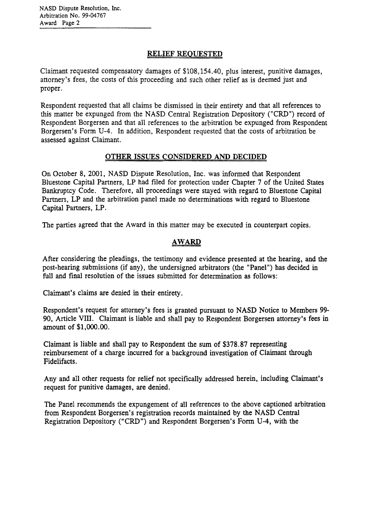## **RELIEF REOUESTED**

Claimant requested compensatory damages of \$108,154.40, plus interest, punitive damages, attorney's fees, the costs of this proceeding and such other relief as is deemed just and proper.

Respondent requested that all claims be dismissed in their entirety and that all references to this matter be expunged from the NASD Central Registration Depository ("CRD") record of Respondent Borgersen and that all references to the arbitration be expunged from Respondent Borgersen's Form **U-4.** In addition, Respondent requested that the costs of arbitration be assessed against Claimant.

## **OTHER ISSUES CONSIDERED AND DECIDED**

On October 8, 2001, NASD Dispute Resolution, Inc. was informed that Respondent Bluestone Capital Partners, LP had filed for protection under Chapter **7** of the United States Bankruptcy Code. Therefore, all proceedings were stayed with regard to Bluestone Capital Partners, LP and the arbitration panel made no determinations with regard to Bluestone Capital Partners, LP.

The parties agreed that the Award in this matter may be executed in counterpart copies.

# **AWARD**

After considering the pleadings, the testimony and evidence presented at the hearing, and the post-hearing submissions (if any), the undersigned arbitrators (the "Panel") has decided in full and final resolution of the issues submitted for determination as follows:

Claimant's claims are denied in their entirety.

Respondent's request for attorney's fees is granted pursuant to NASD Notice to Members *99-*  90, Article **VIIJ.** Claimant is liable and shall pay to Respondent Borgersen attorney's fees in amount of **\$1,OOO.o0.** 

Claimant is liable and shall pay to Respondent the **sum** of **\$378,87** representing reimbursement of a charge incurred for a background investigation of Claimant through Fidelifacts.

**Any** and all other requests for relief not specifically addressed herein, including Claimant's request for punitive damages, are denied.

The Panel recommends the expungement of all references to the above captioned arbitration from Respondent Borgersen's registration records maintained by the NASD Central Registration Depository ("CRD") and Respondent Borgersen's Form U-4, with the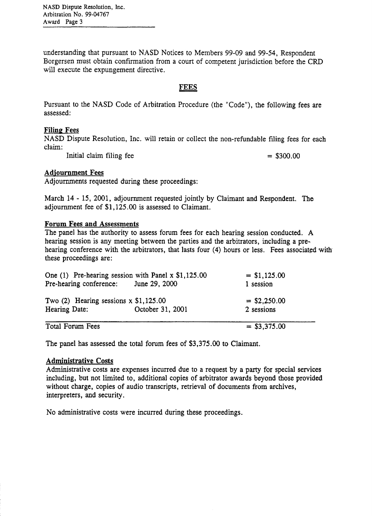**NASD Dispute Resolution,** Inc. **Arbitration No.** *99-04767*  **Award Page** 3

understanding that pursuant to **NASD** Notices to Members 99-09 and 99-54, Respondent Borgersen must obtain confirmation from a court of competent jurisdiction before the CRD will execute the expungement directive.

## **FEES**

Pursuant to the NASD Code of Arbitration Procedure (the "Code"), the following fees are assessed:

#### **Filing Fees**

NASD Dispute Resolution, Inc. will retain or collect the non-refundable filing fees for each claim:

Initial claim filing fee  $= $300.00$ 

#### **Adiournment Fees**

Adjournments requested during these proceedings:

March 14 - 15, 2001, adjournment requested jointly by Claimant and Respondent. The adjournment fee of \$1,125.00 is assessed to Claimant.

#### **Forum Fees and Assessments**

The panel has the authority to assess forum fees for each hearing session conducted. **A**  hearing session is any meeting between the parties and the arbitrators, including a pre-. hearing conference with the arbitrators, that lasts four (4) hours or less. Fees associated with these proceedings are:

| One (1) Pre-hearing session with Panel $x$ \$1,125.00<br>Pre-hearing conference: June 29, 2000 |                  | $=$ \$1,125.00<br>1 session |
|------------------------------------------------------------------------------------------------|------------------|-----------------------------|
| Two $(2)$ Hearing sessions x \$1,125.00                                                        |                  | $=$ \$2,250.00              |
| Hearing Date:                                                                                  | October 31, 2001 | 2 sessions                  |
| Total Forum Fees                                                                               |                  | $=$ \$3,375.00              |

The panel has assessed the total forum fees of \$3,375.00 to Claimant.

#### **Administrative Costs**

Administrative costs are expenses incurred due to a request by a party for special services including, but not limited to, additional copies of arbitrator awards beyond those provided without charge, copies of audio transcripts, retrieval of documents from archives, interpreters, and security.

No administrative costs were incurred during these proceedings.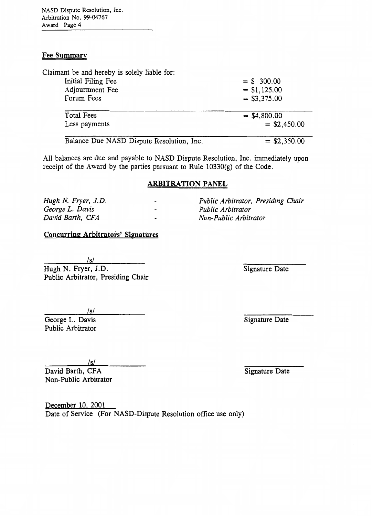**NASD Dispute** Resolution, Inc. **Arbitration No. 99-04767 Award Page 4** 

## **Fee Summary**

| Claimant be and hereby is solely liable for: |                |
|----------------------------------------------|----------------|
| Initial Filing Fee                           | $=$ \$ 300.00  |
| Adjournment Fee                              | $=$ \$1,125.00 |
| Forum Fees                                   | $=$ \$3,375.00 |
| <b>Total Fees</b>                            | $=$ \$4,800.00 |
| Less payments                                | $=$ \$2,450.00 |
|                                              |                |

All balances are due and payable to NASD Dispute Resolution, Inc. immediately upon receipt of the Award by the parties pursuant to Rule 10330(g) of the Code.

## **ARBITRATION PANEL**

*Hugh N. Fryer, J. D. George L. Davis David Barth, CFA* 

## **Concurring Arbitrators' Sipnatures**

 $/s/$ 

Hugh N. Fryer, J.D. Public Arbitrator, Presiding Chair

/s/ George L. Davis Public Arbitrator

Signature Date

Signature Date

*/SI* 

David Barth, CFA Non-Public Arbitrator

December **10.** 2001 Date of Service (For NASD-Dispute Resolution office use only)

Signature Date

*Public Arbitrator, Presiding Chair*  - *Non-Public Arbitrator* 

Balance Due NASD Dispute Resolution, Inc.  $= $2,350.00$ 

- *Public Arbitrator*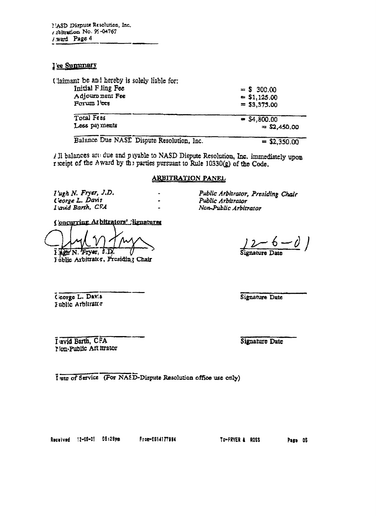#### <u>J'ee Summary</u>

Claimant be and hereby is solely liable for:

| Initial Fling Fee                         | $=$ \$ 300.00  |
|-------------------------------------------|----------------|
| Adjournment Fee                           | $=$ \$1,125.00 |
| Forum l'oes                               | $=$ \$3,375.00 |
| Total Fees                                | $= $4,800.00$  |
| Less payments                             | $=$ \$2,450.00 |
| Balance Due NASE Dispute Resolution, Inc. | $=$ \$2,350.00 |

/ Il balances art due and payable to NASD Dispute Resolution, Inc. immediately upon r reint of the Award by the parties pursuant to Rule 10330(g) of the Code.

 $\ddot{\phantom{1}}$ 

 $\ddot{\phantom{0}}$ 

 $\blacksquare$ 

## **ARBITRATION PANEL**

 $I'ugh N. Fryer, J.D.$ Ceorge L. Davis I avid Barth, CFA

Concurring At bitrators' lignatures

 $1$   $\overline{\text{ABC}}$  N. Fryer,  $0.\overline{\text{D}}$ .

I ublic Arbitrator, Presiding Chair

Public Arbitrator, Presiding Chair Public Arbitrator Non-Public Arbitrator

 $\frac{2}{5} - 6 - 0$ 

Cicorge L. Davis I ublic Arbitrator

Signature Date

I avid Barth, CFA **Mon-Public Art itrator** 

Signature Date

I ate of Service (For NASD-Dispute Resolution office use only)

Received 12-08-01 05:28pm

From-E614177994

TO-FRYER & ROSS

Page 05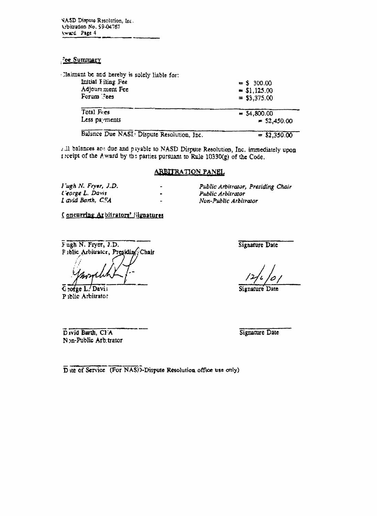VASD Dispute Resolution. Inc. Arbitration No. 59-04767 Award Page 4

#### **ce Summary**

| Claimant be and hereby is solely liable for: |                |
|----------------------------------------------|----------------|
| Initial Filing Fee                           | $=$ \$ 300.00  |
| Adjours ment Fee                             | \$1,125.00     |
| Forum Fees                                   | $=$ \$3,375.00 |
| Total Fres                                   | $=$ 54,800.00  |
| Less payments                                | $=$ \$2,450.00 |
| Balance Due NASI Dispute Resolution, Inc.    | $=$ \$2,350.00 |

7.11 balances are due and payable to NASD Dispute Resolution, Inc. immediately upon receipt of the Award by the parties pursuant to Rule 10330(g) of the Code.

 $\ddot{\phantom{1}}$ 

 $\ddot{\phantom{a}}$ 

 $\overline{a}$ 

#### ARBITRATION PANEL

Fugh N. Fryer, J.D. Ceorge L. Davis Lavid Barth, C.S.A.

Public Arbitrator, Presiding Chair

- Public Arbitrator
- Non-Public Arbitrator

Concurring Arbitrators' Signatures

Fugh N. Fryer, J.D. Fiblic Arbitrater, Presidin Chair

Ceorge L. Davis Piblic Arbitrator

Signature Date

Signature Date

David Barth, Cl'A Non-Public Arbitrator Signature Date

Due of Service (For NAS). Dispute Resolution office use only)